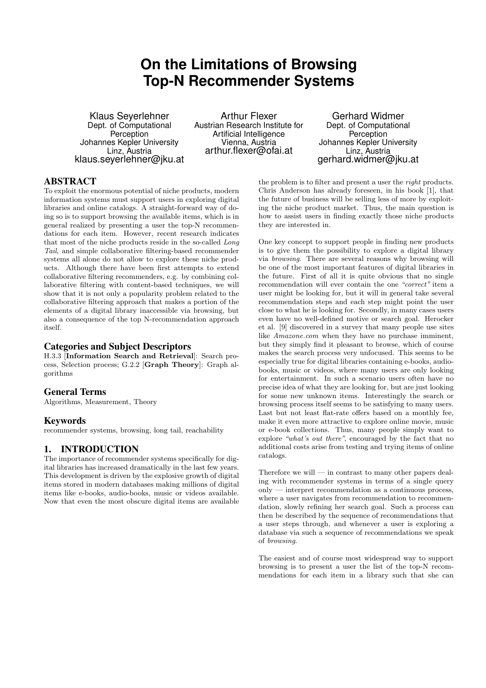# **On the Limitations of Browsing Top-N Recommender Systems**

Klaus Seyerlehner Dept. of Computational Perception Johannes Kepler University Linz, Austria klaus.seyerlehner@jku.at

Arthur Flexer Austrian Research Institute for Artificial Intelligence Vienna, Austria arthur.flexer@ofai.at

Gerhard Widmer Dept. of Computational **Perception** Johannes Kepler University Linz, Austria gerhard.widmer@jku.at

# ABSTRACT

To exploit the enormous potential of niche products, modern information systems must support users in exploring digital libraries and online catalogs. A straight-forward way of doing so is to support browsing the available items, which is in general realized by presenting a user the top-N recommendations for each item. However, recent research indicates that most of the niche products reside in the so-called Long Tail, and simple collaborative filtering-based recommender systems all alone do not allow to explore these niche products. Although there have been first attempts to extend collaborative filtering recommenders, e.g. by combining collaborative filtering with content-based techniques, we will show that it is not only a popularity problem related to the collaborative filtering approach that makes a portion of the elements of a digital library inaccessible via browsing, but also a consequence of the top N-recommendation approach itself.

#### Categories and Subject Descriptors

H.3.3 [Information Search and Retrieval]: Search process, Selection process; G.2.2 [Graph Theory]: Graph algorithms

## General Terms

Algorithms, Measurement, Theory

## Keywords

recommender systems, browsing, long tail, reachability

## 1. INTRODUCTION

The importance of recommender systems specifically for digital libraries has increased dramatically in the last few years. This development is driven by the explosive growth of digital items stored in modern databases making millions of digital items like e-books, audio-books, music or videos available. Now that even the most obscure digital items are available

the problem is to filter and present a user the right products. Chris Anderson has already foreseen, in his book [1], that the future of business will be selling less of more by exploiting the niche product market. Thus, the main question is how to assist users in finding exactly those niche products they are interested in.

One key concept to support people in finding new products is to give them the possibility to explore a digital library via browsing. There are several reasons why browsing will be one of the most important features of digital libraries in the future. First of all it is quite obvious that no single recommendation will ever contain the one "correct" item a user might be looking for, but it will in general take several recommendation steps and each step might point the user close to what he is looking for. Secondly, in many cases users even have no well-defined motive or search goal. Herocker et al. [9] discovered in a survey that many people use sites like Amazone.com when they have no purchase imminent, but they simply find it pleasant to browse, which of course makes the search process very unfocused. This seems to be especially true for digital libraries containing e-books, audiobooks, music or videos, where many users are only looking for entertainment. In such a scenario users often have no precise idea of what they are looking for, but are just looking for some new unknown items. Interestingly the search or browsing process itself seems to be satisfying to many users. Last but not least flat-rate offers based on a monthly fee, make it even more attractive to explore online movie, music or e-book collections. Thus, many people simply want to explore "what's out there", encouraged by the fact that no additional costs arise from testing and trying items of online catalogs.

Therefore we will — in contrast to many other papers dealing with recommender systems in terms of a single query only — interpret recommendation as a continuous process, where a user navigates from recommendation to recommendation, slowly refining her search goal. Such a process can then be described by the sequence of recommendations that a user steps through, and whenever a user is exploring a database via such a sequence of recommendations we speak of browsing.

The easiest and of course most widespread way to support browsing is to present a user the list of the top-N recommendations for each item in a library such that she can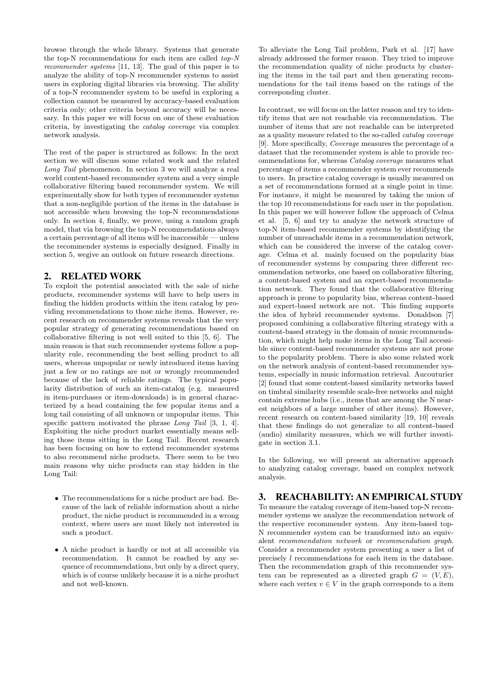browse through the whole library. Systems that generate the top-N recommendations for each item are called top-N recommender systems [11, 13]. The goal of this paper is to analyze the ability of top-N recommender systems to assist users in exploring digital libraries via browsing. The ability of a top-N recommender system to be useful in exploring a collection cannot be measured by accuracy-based evaluation criteria only; other criteria beyond accuracy will be necessary. In this paper we will focus on one of these evaluation criteria, by investigating the catalog coverage via complex network analysis.

The rest of the paper is structured as follows: In the next section we will discuss some related work and the related Long Tail phenomenon. In section 3 we will analyze a real world content-based recommender system and a very simple collaborative filtering based recommender system. We will experimentally show for both types of recommender systems that a non-negligible portion of the items in the database is not accessible when browsing the top-N recommendations only. In section 4, finally, we prove, using a random graph model, that via browsing the top-N recommendations always a certain percentage of all items will be inaccessible — unless the recommender systems is especially designed. Finally in section 5, wegive an outlook on future research directions.

## 2. RELATED WORK

To exploit the potential associated with the sale of niche products, recommender systems will have to help users in finding the hidden products within the item catalog by providing recommendations to those niche items. However, recent research on recommender systems reveals that the very popular strategy of generating recommendations based on collaborative filtering is not well suited to this [5, 6]. The main reason is that such recommender systems follow a popularity rule, recommending the best selling product to all users, whereas unpopular or newly introduced items having just a few or no ratings are not or wrongly recommended because of the lack of reliable ratings. The typical popularity distribution of such an item-catalog (e.g. measured in item-purchases or item-downloads) is in general characterized by a head containing the few popular items and a long tail consisting of all unknown or unpopular items. This specific pattern motivated the phrase Long Tail [3, 1, 4]. Exploiting the niche product market essentially means selling those items sitting in the Long Tail. Recent research has been focusing on how to extend recommender systems to also recommend niche products. There seem to be two main reasons why niche products can stay hidden in the Long Tail:

- The recommendations for a niche product are bad. Because of the lack of reliable information about a niche product, the niche product is recommended in a wrong context, where users are most likely not interested in such a product.
- A niche product is hardly or not at all accessible via recommendation. It cannot be reached by any sequence of recommendations, but only by a direct query, which is of course unlikely because it is a niche product and not well-known.

To alleviate the Long Tail problem, Park et al. [17] have already addressed the former reason. They tried to improve the recommendation quality of niche products by clustering the items in the tail part and then generating recommendations for the tail items based on the ratings of the corresponding cluster.

In contrast, we will focus on the latter reason and try to identify items that are not reachable via recommendation. The number of items that are not reachable can be interpreted as a quality measure related to the so-called catalog coverage [9]. More specifically, Coverage measures the percentage of a dataset that the recommender system is able to provide recommendations for, whereas Catalog coverage measures what percentage of items a recommender system ever recommends to users. In practice catalog coverage is usually measured on a set of recommendations formed at a single point in time. For instance, it might be measured by taking the union of the top 10 recommendations for each user in the population. In this paper we will however follow the approach of Celma et al. [5, 6] and try to analyze the network structure of top-N item-based recommender systems by identifying the number of unreachable items in a recommendation network, which can be considered the inverse of the catalog coverage. Celma et al. mainly focused on the popularity bias of recommender systems by comparing three different recommendation networks, one based on collaborative filtering, a content-based system and an expert-based recommendation network. They found that the collaborative filtering approach is prone to popularity bias, whereas content-based and expert-based network are not. This finding supports the idea of hybrid recommender systems. Donaldson [7] proposed combining a collaborative filtering strategy with a content-based strategy in the domain of music recommendation, which might help make items in the Long Tail accessible since content-based recommender systems are not prone to the popularity problem. There is also some related work on the network analysis of content-based recommender systems, especially in music information retrieval. Aucouturier [2] found that some content-based similarity networks based on timbral similarity resemble scale-free networks and might contain extreme hubs (i.e., items that are among the N nearest neighbors of a large number of other items). However, recent research on content-based similarity [19, 10] reveals that these findings do not generalize to all content-based (audio) similarity measures, which we will further investigate in section 3.1.

In the following, we will present an alternative approach to analyzing catalog coverage, based on complex network analysis.

## 3. REACHABILITY: AN EMPIRICAL STUDY

To measure the catalog coverage of item-based top-N recommender systems we analyze the recommendation network of the respective recommender system. Any item-based top-N recommender system can be transformed into an equivalent recommendation network or recommendation graph. Consider a recommender system presenting a user a list of precisely l recommendations for each item in the database. Then the recommendation graph of this recommender system can be represented as a directed graph  $G = (V, E)$ , where each vertex  $v \in V$  in the graph corresponds to a item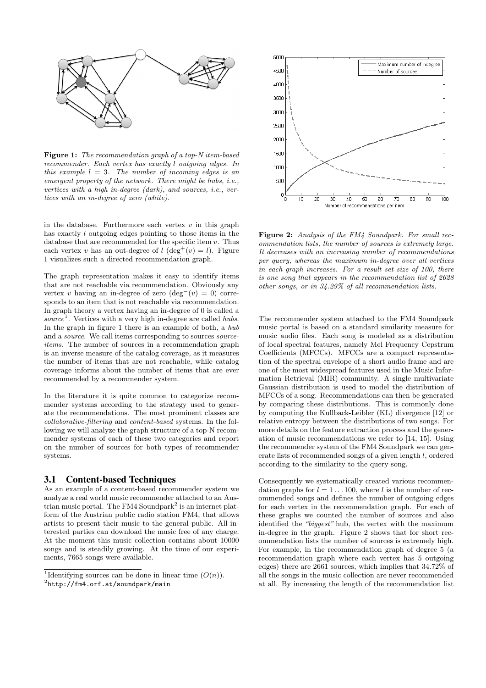

Figure 1: The recommendation graph of a top-N item-based recommender. Each vertex has exactly l outgoing edges. In this example  $l = 3$ . The number of incoming edges is an emergent property of the network. There might be hubs, i.e., vertices with a high in-degree (dark), and sources, i.e., vertices with an in-degree of zero (white).

in the database. Furthermore each vertex  $v$  in this graph has exactly l outgoing edges pointing to those items in the database that are recommended for the specific item  $v$ . Thus each vertex v has an out-degree of  $l$  (deg<sup>+</sup>(v) = l). Figure 1 visualizes such a directed recommendation graph.

The graph representation makes it easy to identify items that are not reachable via recommendation. Obviously any vertex v having an in-degree of zero  $(\deg^{-}(v) = 0)$  corresponds to an item that is not reachable via recommendation. In graph theory a vertex having an in-degree of 0 is called a source<sup>1</sup>. Vertices with a very high in-degree are called hubs. In the graph in figure 1 there is an example of both, a hub and a *source*. We call items corresponding to sources *source*items. The number of sources in a recommendation graph is an inverse measure of the catalog coverage, as it measures the number of items that are not reachable, while catalog coverage informs about the number of items that are ever recommended by a recommender system.

In the literature it is quite common to categorize recommender systems according to the strategy used to generate the recommendations. The most prominent classes are collaborative-filtering and content-based systems. In the following we will analyze the graph structure of a top-N recommender systems of each of these two categories and report on the number of sources for both types of recommender systems.

#### 3.1 Content-based Techniques

As an example of a content-based recommender system we analyze a real world music recommender attached to an Austrian music portal. The FM4 Soundpark<sup>2</sup> is an internet platform of the Austrian public radio station FM4, that allows artists to present their music to the general public. All interested parties can download the music free of any charge. At the moment this music collection contains about 10000 songs and is steadily growing. At the time of our experiments, 7665 songs were available.



Figure 2: Analysis of the FM4 Soundpark. For small recommendation lists, the number of sources is extremely large. It decreases with an increasing number of recommendations per query, whereas the maximum in-degree over all vertices in each graph increases. For a result set size of 100, there is one song that appears in the recommendation list of 2628 other songs, or in 34.29% of all recommendation lists.

The recommender system attached to the FM4 Soundpark music portal is based on a standard similarity measure for music audio files. Each song is modeled as a distribution of local spectral features, namely Mel Frequency Cepstrum Coefficients (MFCCs). MFCCs are a compact representation of the spectral envelope of a short audio frame and are one of the most widespread features used in the Music Information Retrieval (MIR) community. A single multivariate Gaussian distribution is used to model the distribution of MFCCs of a song. Recommendations can then be generated by comparing these distributions. This is commonly done by computing the Kullback-Leibler (KL) divergence [12] or relative entropy between the distributions of two songs. For more details on the feature extraction process and the generation of music recommendations we refer to [14, 15]. Using the recommender system of the FM4 Soundpark we can generate lists of recommended songs of a given length l, ordered according to the similarity to the query song.

Consequently we systematically created various recommendation graphs for  $l = 1 \dots 100$ , where l is the number of recommended songs and defines the number of outgoing edges for each vertex in the recommendation graph. For each of these graphs we counted the number of sources and also identified the "biggest" hub, the vertex with the maximum in-degree in the graph. Figure 2 shows that for short recommendation lists the number of sources is extremely high. For example, in the recommendation graph of degree 5 (a recommendation graph where each vertex has 5 outgoing edges) there are 2661 sources, which implies that 34.72% of all the songs in the music collection are never recommended at all. By increasing the length of the recommendation list

<sup>&</sup>lt;sup>1</sup>Identifying sources can be done in linear time  $(O(n))$ .

 $^{2}$ http://fm4.orf.at/soundpark/main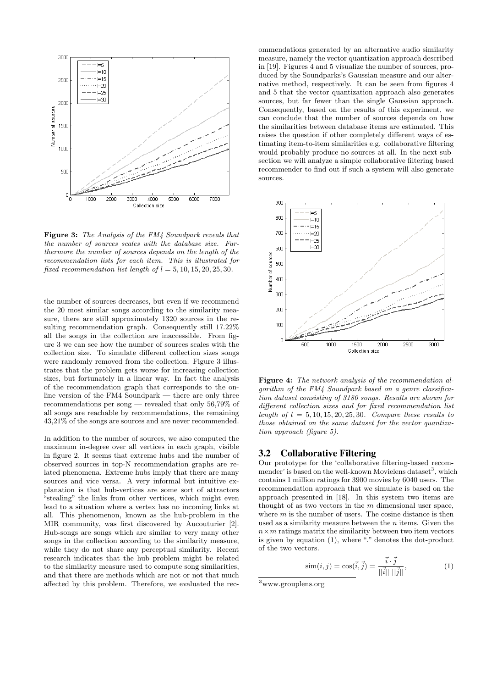

Figure 3: The Analysis of the FM4 Soundpark reveals that the number of sources scales with the database size. Furthermore the number of sources depends on the length of the recommendation lists for each item. This is illustrated for fixed recommendation list length of  $l = 5, 10, 15, 20, 25, 30$ .

the number of sources decreases, but even if we recommend the 20 most similar songs according to the similarity measure, there are still approximately 1320 sources in the resulting recommendation graph. Consequently still 17.22% all the songs in the collection are inaccessible. From figure 3 we can see how the number of sources scales with the collection size. To simulate different collection sizes songs were randomly removed from the collection. Figure 3 illustrates that the problem gets worse for increasing collection sizes, but fortunately in a linear way. In fact the analysis of the recommendation graph that corresponds to the online version of the FM4 Soundpark — there are only three recommendations per song — revealed that only 56,79% of all songs are reachable by recommendations, the remaining 43,21% of the songs are sources and are never recommended.

In addition to the number of sources, we also computed the maximum in-degree over all vertices in each graph, visible in figure 2. It seems that extreme hubs and the number of observed sources in top-N recommendation graphs are related phenomena. Extreme hubs imply that there are many sources and vice versa. A very informal but intuitive explanation is that hub-vertices are some sort of attractors "stealing" the links from other vertices, which might even lead to a situation where a vertex has no incoming links at all. This phenomenon, known as the hub-problem in the MIR community, was first discovered by Aucouturier [2]. Hub-songs are songs which are similar to very many other songs in the collection according to the similarity measure, while they do not share any perceptual similarity. Recent research indicates that the hub problem might be related to the similarity measure used to compute song similarities, and that there are methods which are not or not that much affected by this problem. Therefore, we evaluated the recommendations generated by an alternative audio similarity measure, namely the vector quantization approach described in [19]. Figures 4 and 5 visualize the number of sources, produced by the Soundparks's Gaussian measure and our alternative method, respectively. It can be seen from figures 4 and 5 that the vector quantization approach also generates sources, but far fewer than the single Gaussian approach. Consequently, based on the results of this experiment, we can conclude that the number of sources depends on how the similarities between database items are estimated. This raises the question if other completely different ways of estimating item-to-item similarities e.g. collaborative filtering would probably produce no sources at all. In the next subsection we will analyze a simple collaborative filtering based recommender to find out if such a system will also generate sources.



Figure 4: The network analysis of the recommendation algorithm of the FM4 Soundpark based on a genre classification dataset consisting of 3180 songs. Results are shown for different collection sizes and for fixed recommendation list length of  $l = 5, 10, 15, 20, 25, 30$ . Compare these results to those obtained on the same dataset for the vector quantization approach (figure 5).

#### 3.2 Collaborative Filtering

Our prototype for the 'collaborative filtering-based recommender' is based on the well-known Movielens dataset<sup>3</sup> , which contains 1 million ratings for 3900 movies by 6040 users. The recommendation approach that we simulate is based on the approach presented in [18]. In this system two items are thought of as two vectors in the  $m$  dimensional user space, where  $m$  is the number of users. The cosine distance is then used as a similarity measure between the  $n$  items. Given the  $n \times m$  ratings matrix the similarity between two item vectors is given by equation (1), where "." denotes the dot-product of the two vectors.

$$
\text{sim}(i, j) = \cos(\vec{i}, \vec{j}) = \frac{\vec{i} \cdot \vec{j}}{||\vec{i}|| \, ||\vec{j}||},\tag{1}
$$

<sup>3</sup>www.grouplens.org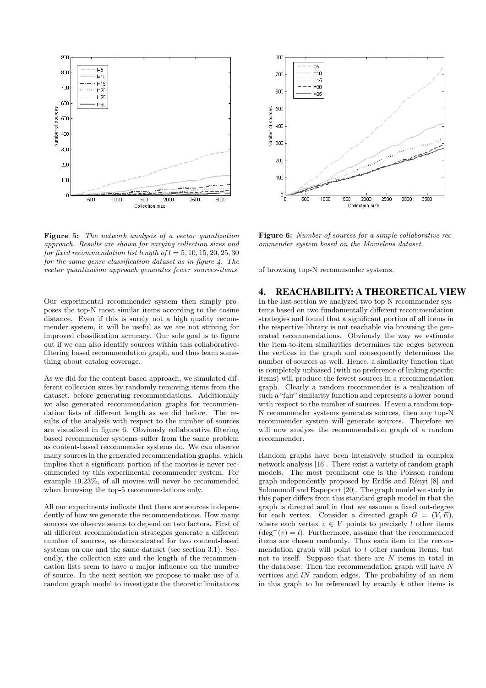

Figure 5: The network analysis of a vector quantization approach. Results are shown for varying collection sizes and for fixed recommendation list length of  $l = 5, 10, 15, 20, 25, 30$ for the same genre classification dataset as in figure 4. The vector quantization approach generates fewer sources-items.

Our experimental recommender system then simply proposes the top-N most similar items according to the cosine distance. Even if this is surely not a high quality recommender system, it will be useful as we are not striving for improved classification accuracy. Our sole goal is to figure out if we can also identify sources within this collaborativefiltering based recommendation graph, and thus learn something about catalog coverage.

As we did for the content-based approach, we simulated different collection sizes by randomly removing items from the dataset, before generating recommendations. Additionally we also generated recommendation graphs for recommendation lists of different length as we did before. The results of the analysis with respect to the number of sources are visualized in figure 6. Obviously collaborative filtering based recommender systems suffer from the same problem as content-based recommender systems do. We can observe many sources in the generated recommendation graphs, which implies that a significant portion of the movies is never recommended by this experimental recommender system. For example 19.23%, of all movies will never be recommended when browsing the top-5 recommendations only.

All our experiments indicate that there are sources independently of how we generate the recommendations. How many sources we observe seems to depend on two factors. First of all different recommendation strategies generate a different number of sources, as demonstrated for two content-based systems on one and the same dataset (see section 3.1). Secondly, the collection size and the length of the recommendation lists seem to have a major influence on the number of source. In the next section we propose to make use of a random graph model to investigate the theoretic limitations



Figure 6: Number of sources for a simple collaborative recommender system based on the Movielens dataset.

of browsing top-N recommender systems.

#### 4. REACHABILITY: A THEORETICAL VIEW

In the last section we analyzed two top-N recommender systems based on two fundamentally different recommendation strategies and found that a significant portion of all items in the respective library is not reachable via browsing the generated recommendations. Obviously the way we estimate the item-to-item similarities determines the edges between the vertices in the graph and consequently determines the number of sources as well. Hence, a similarity function that is completely unbiased (with no preference of linking specific items) will produce the fewest sources in a recommendation graph. Clearly a random recommender is a realization of such a "fair" similarity function and represents a lower bound with respect to the number of sources. If even a random top-N recommender systems generates sources, then any top-N recommender system will generate sources. Therefore we will now analyze the recommendation graph of a random recommender.

Random graphs have been intensively studied in complex network analysis [16]. There exist a variety of random graph models. The most prominent one is the Poisson random graph independently proposed by Erdős and Rényi [8] and Solomonoff and Rapoport [20]. The graph model we study in this paper differs from this standard graph model in that the graph is directed and in that we assume a fixed out-degree for each vertex. Consider a directed graph  $G = (V, E)$ , where each vertex  $v \in V$  points to precisely l other items  $(\text{deg}^+(v) = l)$ . Furthermore, assume that the recommended items are chosen randomly. Thus each item in the recommendation graph will point to  $l$  other random items, but not to itself. Suppose that there are  $N$  items in total in the database. Then the recommendation graph will have N vertices and  $l$ N random edges. The probability of an item in this graph to be referenced by exactly  $k$  other items is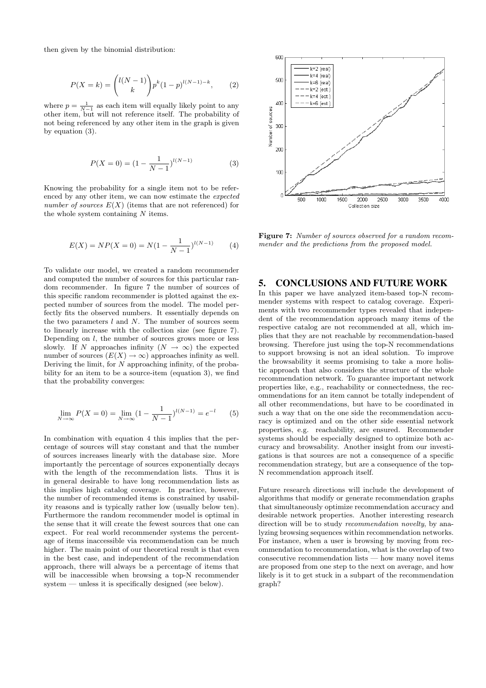then given by the binomial distribution:

$$
P(X = k) = \binom{l(N-1)}{k} p^k (1-p)^{l(N-1)-k},
$$
 (2)

where  $p = \frac{1}{N-1}$  as each item will equally likely point to any other item, but will not reference itself. The probability of not being referenced by any other item in the graph is given by equation (3).

$$
P(X=0) = (1 - \frac{1}{N-1})^{l(N-1)}
$$
\n(3)

Knowing the probability for a single item not to be referenced by any other item, we can now estimate the expected number of sources  $E(X)$  (items that are not referenced) for the whole system containing N items.

$$
E(X) = NP(X = 0) = N(1 - \frac{1}{N - 1})^{l(N - 1)}
$$
 (4)

To validate our model, we created a random recommender and computed the number of sources for this particular random recommender. In figure 7 the number of sources of this specific random recommender is plotted against the expected number of sources from the model. The model perfectly fits the observed numbers. It essentially depends on the two parameters  $l$  and  $N$ . The number of sources seem to linearly increase with the collection size (see figure 7). Depending on  $l$ , the number of sources grows more or less slowly. If N approaches infinity  $(N \to \infty)$  the expected number of sources  $(E(X) \to \infty)$  approaches infinity as well. Deriving the limit, for  $N$  approaching infinity, of the probability for an item to be a source-item (equation 3), we find that the probability converges:

$$
\lim_{N \to \infty} P(X = 0) = \lim_{N \to \infty} (1 - \frac{1}{N - 1})^{l(N - 1)} = e^{-l} \tag{5}
$$

In combination with equation 4 this implies that the percentage of sources will stay constant and that the number of sources increases linearly with the database size. More importantly the percentage of sources exponentially decays with the length of the recommendation lists. Thus it is in general desirable to have long recommendation lists as this implies high catalog coverage. In practice, however, the number of recommended items is constrained by usability reasons and is typically rather low (usually below ten). Furthermore the random recommender model is optimal in the sense that it will create the fewest sources that one can expect. For real world recommender systems the percentage of items inaccessible via recommendation can be much higher. The main point of our theoretical result is that even in the best case, and independent of the recommendation approach, there will always be a percentage of items that will be inaccessible when browsing a top-N recommender system — unless it is specifically designed (see below).



Figure 7: Number of sources observed for a random recommender and the predictions from the proposed model.

## 5. CONCLUSIONS AND FUTURE WORK

In this paper we have analyzed item-based top-N recommender systems with respect to catalog coverage. Experiments with two recommender types revealed that independent of the recommendation approach many items of the respective catalog are not recommended at all, which implies that they are not reachable by recommendation-based browsing. Therefore just using the top-N recommendations to support browsing is not an ideal solution. To improve the browsability it seems promising to take a more holistic approach that also considers the structure of the whole recommendation network. To guarantee important network properties like, e.g., reachability or connectedness, the recommendations for an item cannot be totally independent of all other recommendations, but have to be coordinated in such a way that on the one side the recommendation accuracy is optimized and on the other side essential network properties, e.g. reachability, are ensured. Recommender systems should be especially designed to optimize both accuracy and browsability. Another insight from our investigations is that sources are not a consequence of a specific recommendation strategy, but are a consequence of the top-N recommendation approach itself.

Future research directions will include the development of algorithms that modify or generate recommendation graphs that simultaneously optimize recommendation accuracy and desirable network properties. Another interesting research direction will be to study recommendation novelty, by analyzing browsing sequences within recommendation networks. For instance, when a user is browsing by moving from recommendation to recommendation, what is the overlap of two consecutive recommendation lists — how many novel items are proposed from one step to the next on average, and how likely is it to get stuck in a subpart of the recommendation graph?